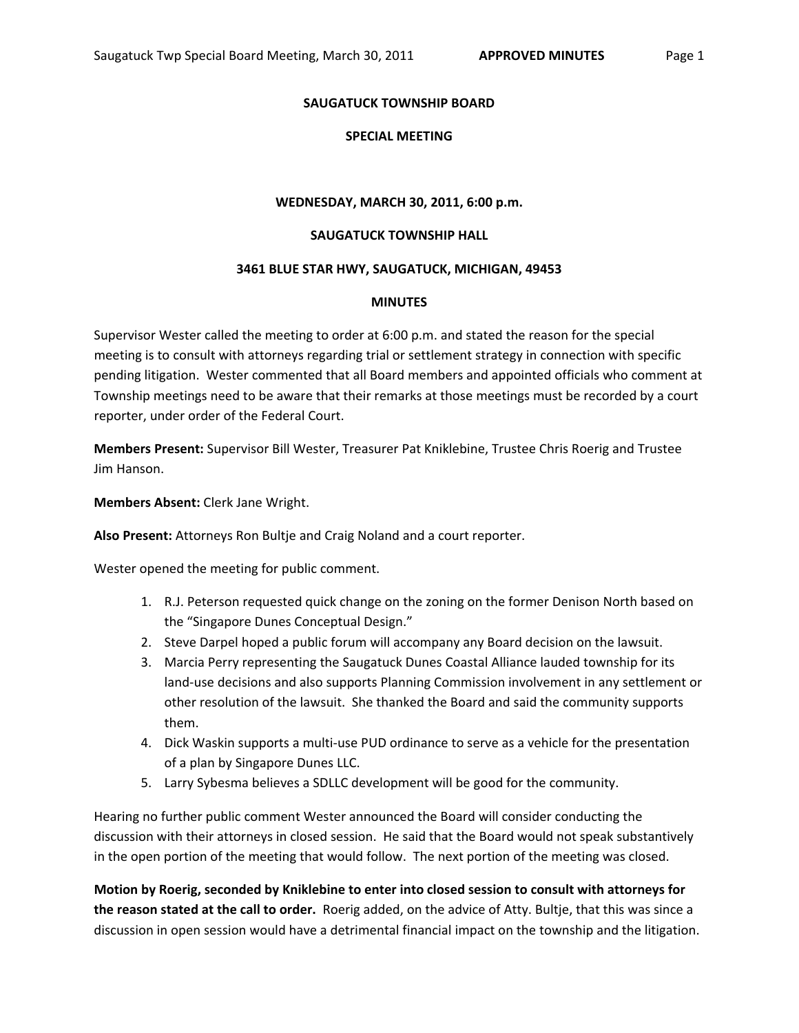# **SPECIAL MEETING**

## **WEDNESDAY, MARCH 30, 2011, 6:00 p.m.**

## **SAUGATUCK TOWNSHIP HALL**

### **3461 BLUE STAR HWY, SAUGATUCK, MICHIGAN, 49453**

### **MINUTES**

Supervisor Wester called the meeting to order at 6:00 p.m. and stated the reason for the special meeting is to consult with attorneys regarding trial or settlement strategy in connection with specific pending litigation. Wester commented that all Board members and appointed officials who comment at Township meetings need to be aware that their remarks at those meetings must be recorded by a court reporter, under order of the Federal Court.

**Members Present:** Supervisor Bill Wester, Treasurer Pat Kniklebine, Trustee Chris Roerig and Trustee Jim Hanson.

**Members Absent:** Clerk Jane Wright.

**Also Present:** Attorneys Ron Bultje and Craig Noland and a court reporter.

Wester opened the meeting for public comment.

- 1. R.J. Peterson requested quick change on the zoning on the former Denison North based on the "Singapore Dunes Conceptual Design."
- 2. Steve Darpel hoped a public forum will accompany any Board decision on the lawsuit.
- 3. Marcia Perry representing the Saugatuck Dunes Coastal Alliance lauded township for its land-use decisions and also supports Planning Commission involvement in any settlement or other resolution of the lawsuit. She thanked the Board and said the community supports them.
- 4. Dick Waskin supports a multi-use PUD ordinance to serve as a vehicle for the presentation of a plan by Singapore Dunes LLC.
- 5. Larry Sybesma believes a SDLLC development will be good for the community.

Hearing no further public comment Wester announced the Board will consider conducting the discussion with their attorneys in closed session. He said that the Board would not speak substantively in the open portion of the meeting that would follow. The next portion of the meeting was closed.

**Motion by Roerig, seconded by Kniklebine to enter into closed session to consult with attorneys for the reason stated at the call to order.** Roerig added, on the advice of Atty. Bultje, that this was since a discussion in open session would have a detrimental financial impact on the township and the litigation.